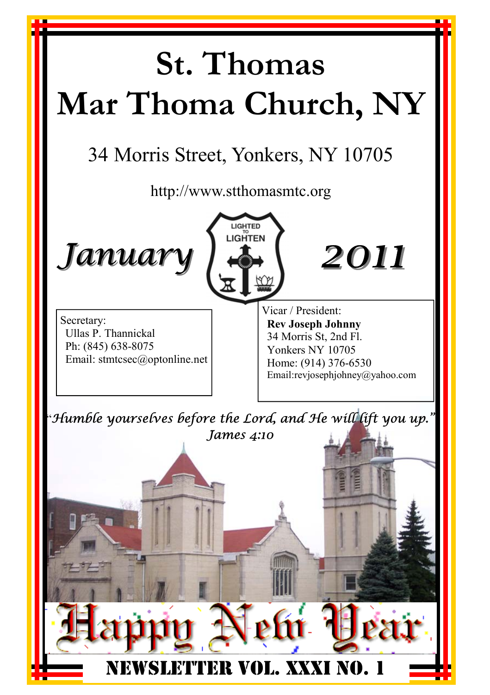#### **St. Thomas Mar Thoma Church, NY**  34 Morris Street, Yonkers, NY 10705 http://www.stthomasmtc.org LIGHTED LIGHTEN *January January 2011* Vicar / President: Secretary: **Rev Joseph Johnny**  Ullas P. Thannickal 34 Morris St, 2nd Fl. Ph: (845) 638-8075 Yonkers NY 10705 Email: stmtcsec@optonline.net Home: (914) 376-6530 Email:revjosephjohney@yahoo.com "*Humble yourselves before the Lord, and He will lift you up." James 4:10*I FER VOL. XXXI NO.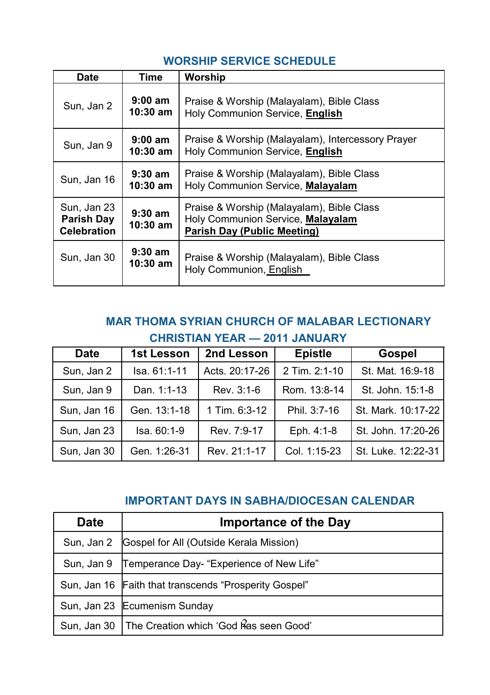| <b>Date</b>                                            | Time                    | Worship                                                                                                              |
|--------------------------------------------------------|-------------------------|----------------------------------------------------------------------------------------------------------------------|
| Sun, Jan 2                                             | $9:00$ am<br>$10:30$ am | Praise & Worship (Malayalam), Bible Class<br>Holy Communion Service, English                                         |
| Sun, Jan 9                                             | $9:00$ am<br>$10:30$ am | Praise & Worship (Malayalam), Intercessory Prayer<br>Holy Communion Service, English                                 |
| Sun, Jan 16                                            | $9:30$ am<br>$10:30$ am | Praise & Worship (Malayalam), Bible Class<br>Holy Communion Service, Malayalam                                       |
| Sun, Jan 23<br><b>Parish Day</b><br><b>Celebration</b> | $9:30$ am<br>$10:30$ am | Praise & Worship (Malayalam), Bible Class<br>Holy Communion Service, Malayalam<br><b>Parish Day (Public Meeting)</b> |
| Sun, Jan 30                                            | $9:30$ am<br>$10:30$ am | Praise & Worship (Malayalam), Bible Class<br>Holy Communion, English                                                 |

#### **WORSHIP SERVICE SCHEDULE**

#### **MAR THOMA SYRIAN CHURCH OF MALABAR LECTIONARY CHRISTIAN YEAR — 2011 JANUARY**

| <b>Date</b> | 1st Lesson    | 2nd Lesson     | <b>Epistle</b> | <b>Gospel</b>      |
|-------------|---------------|----------------|----------------|--------------------|
| Sun, Jan 2  | Isa, 61:1-11  | Acts. 20:17-26 | 2 Tim. 2:1-10  | St. Mat. 16:9-18   |
| Sun, Jan 9  | Dan. 1:1-13   | Rev. 3:1-6     | Rom. 13:8-14   | St. John. 15:1-8   |
| Sun, Jan 16 | Gen. 13:1-18  | 1 Tim. 6:3-12  | Phil. 3:7-16   | St. Mark. 10:17-22 |
| Sun, Jan 23 | $Isa. 60:1-9$ | Rev. 7:9-17    | Eph. 4:1-8     | St. John. 17:20-26 |
| Sun, Jan 30 | Gen. 1:26-31  | Rev. 21:1-17   | Col. 1:15-23   | St. Luke. 12:22-31 |

#### **IMPORTANT DAYS IN SABHA/DIOCESAN CALENDAR**

| <b>Date</b> | <b>Importance of the Day</b>                          |
|-------------|-------------------------------------------------------|
| Sun, Jan 2  | Gospel for All (Outside Kerala Mission)               |
|             | Sun, Jan 9 Temperance Day- "Experience of New Life"   |
|             | Sun, Jan 16 Faith that transcends "Prosperity Gospel" |
|             | Sun, Jan 23 Ecumenism Sunday                          |
| Sun. Jan 30 | The Creation which 'God Ras seen Good'                |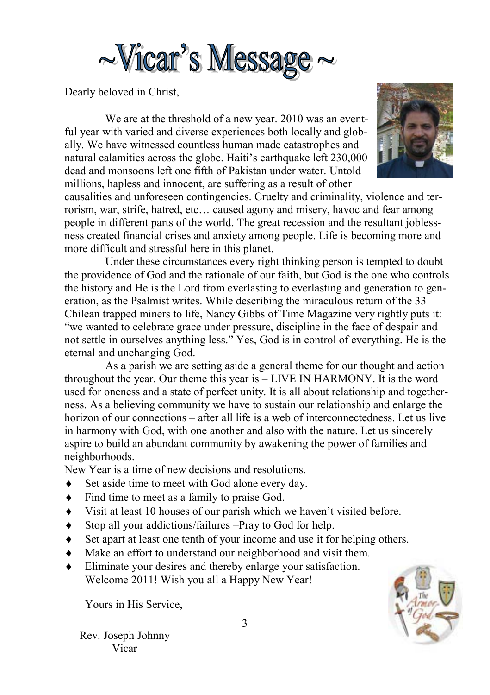

Dearly beloved in Christ,

 We are at the threshold of a new year. 2010 was an eventful year with varied and diverse experiences both locally and globally. We have witnessed countless human made catastrophes and natural calamities across the globe. Haiti's earthquake left 230,000 dead and monsoons left one fifth of Pakistan under water. Untold millions, hapless and innocent, are suffering as a result of other



causalities and unforeseen contingencies. Cruelty and criminality, violence and terrorism, war, strife, hatred, etc… caused agony and misery, havoc and fear among people in different parts of the world. The great recession and the resultant joblessness created financial crises and anxiety among people. Life is becoming more and more difficult and stressful here in this planet.

 Under these circumstances every right thinking person is tempted to doubt the providence of God and the rationale of our faith, but God is the one who controls the history and He is the Lord from everlasting to everlasting and generation to generation, as the Psalmist writes. While describing the miraculous return of the 33 Chilean trapped miners to life, Nancy Gibbs of Time Magazine very rightly puts it: "we wanted to celebrate grace under pressure, discipline in the face of despair and not settle in ourselves anything less." Yes, God is in control of everything. He is the eternal and unchanging God.

 As a parish we are setting aside a general theme for our thought and action throughout the year. Our theme this year is – LIVE IN HARMONY. It is the word used for oneness and a state of perfect unity. It is all about relationship and togetherness. As a believing community we have to sustain our relationship and enlarge the horizon of our connections – after all life is a web of interconnectedness. Let us live in harmony with God, with one another and also with the nature. Let us sincerely aspire to build an abundant community by awakening the power of families and neighborhoods.

New Year is a time of new decisions and resolutions.

- Set aside time to meet with God alone every day.
- Find time to meet as a family to praise God.
- Visit at least 10 houses of our parish which we haven't visited before.
- Stop all your addictions/failures –Pray to God for help.
- Set apart at least one tenth of your income and use it for helping others.
- Make an effort to understand our neighborhood and visit them.
- Eliminate your desires and thereby enlarge your satisfaction. Welcome 2011! Wish you all a Happy New Year!

Yours in His Service,



Rev. Joseph Johnny Vicar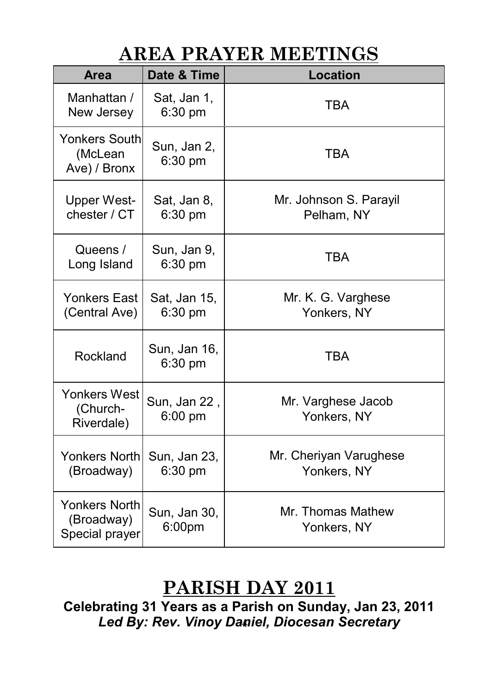#### **AREA PRAYER MEETINGS**

| <b>Area</b>                                          | Date & Time               | <b>Location</b>                       |
|------------------------------------------------------|---------------------------|---------------------------------------|
| Manhattan /<br>New Jersey                            | Sat, Jan 1,<br>6:30 pm    | <b>TBA</b>                            |
| <b>Yonkers South</b><br>(McLean<br>Ave) / Bronx      | Sun, Jan 2,<br>6:30 pm    | TBA                                   |
| <b>Upper West-</b><br>chester / CT                   | Sat, Jan 8,<br>6:30 pm    | Mr. Johnson S. Parayil<br>Pelham, NY  |
| Queens /<br>Long Island                              | Sun, Jan 9,<br>6:30 pm    | <b>TBA</b>                            |
| Yonkers East<br>(Central Ave)                        | Sat, Jan 15,<br>6:30 pm   | Mr. K. G. Varghese<br>Yonkers, NY     |
| Rockland                                             | Sun, Jan 16,<br>$6:30$ pm | <b>TBA</b>                            |
| Yonkers West<br>(Church-<br>Riverdale)               | Sun, Jan 22,<br>$6:00$ pm | Mr. Varghese Jacob<br>Yonkers, NY     |
| <b>Yonkers North</b><br>(Broadway)                   | Sun, Jan 23,<br>$6:30$ pm | Mr. Cheriyan Varughese<br>Yonkers, NY |
| <b>Yonkers North</b><br>(Broadway)<br>Special prayer | Sun, Jan 30,<br>6:00pm    | Mr. Thomas Mathew<br>Yonkers, NY      |

#### **PARISH DAY 2011**

4 **Celebrating 31 Years as a Parish on Sunday, Jan 23, 2011**  *Led By: Rev. Vinoy Daniel, Diocesan Secretary*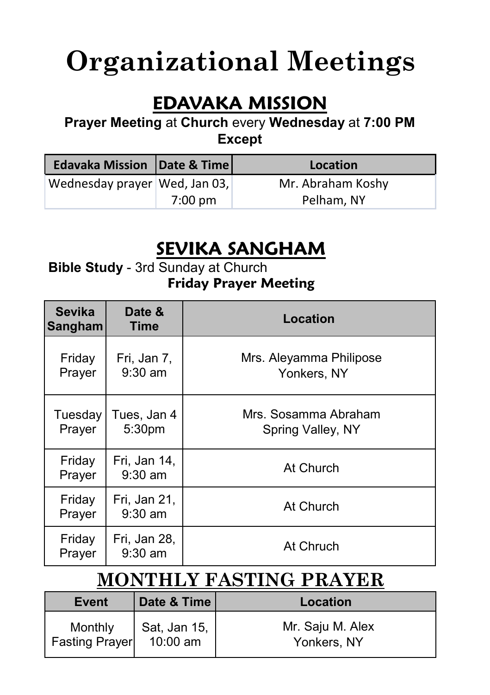### **Organizational Meetings**

#### **EDAVAKA MISSION**

**Prayer Meeting** at **Church** every **Wednesday** at **7:00 PM Except** 

| <b>Edavaka Mission Date &amp; Time</b> |         | Location          |
|----------------------------------------|---------|-------------------|
| Wednesday prayer Wed, Jan 03,          |         | Mr. Abraham Koshy |
|                                        | 7:00 pm | Pelham, NY        |

#### **SEVIKA SANGHAM**

#### **Bible Study** - 3rd Sunday at Church **Friday Prayer Meeting**

| <b>Sevika</b><br><b>Sangham</b> | Date &<br>Time            | Location                                  |
|---------------------------------|---------------------------|-------------------------------------------|
| Friday<br>Prayer                | Fri, Jan 7,<br>$9:30$ am  | Mrs. Aleyamma Philipose<br>Yonkers, NY    |
| Tuesday<br>Prayer               | Tues, Jan 4<br>5:30pm     | Mrs. Sosamma Abraham<br>Spring Valley, NY |
| Friday<br>Prayer                | Fri, Jan 14,<br>$9:30$ am | At Church                                 |
| Friday<br>Prayer                | Fri, Jan 21,<br>$9:30$ am | At Church                                 |
| Friday<br>Prayer                | Fri, Jan 28,<br>$9:30$ am | At Chruch                                 |

#### **MONTHLY FASTING PRAYER**

| Event                 | Date & Time  | Location         |
|-----------------------|--------------|------------------|
| Monthly               | Sat, Jan 15, | Mr. Saju M. Alex |
| <b>Fasting Prayer</b> | $10:00$ am   | Yonkers, NY      |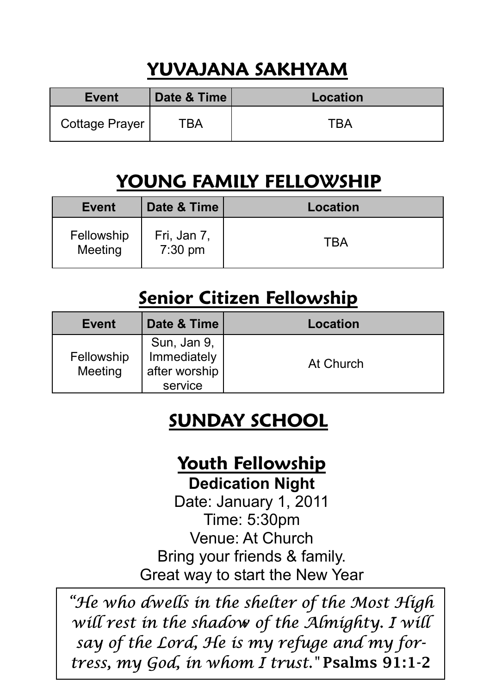#### **YUVAJANA SAKHYAM**

| <b>Event</b>   | Date & Time | Location |
|----------------|-------------|----------|
| Cottage Prayer | ™ВА         |          |

#### **YOUNG FAMILY FELLOWSHIP**

| Event                 | Date & Time                      | Location |
|-----------------------|----------------------------------|----------|
| Fellowship<br>Meeting | Fri, Jan 7,<br>$7:30 \text{ pm}$ | TRA      |

#### **Senior Citizen Fellowship**

| Event                 | Date & Time                                            | Location  |
|-----------------------|--------------------------------------------------------|-----------|
| Fellowship<br>Meeting | Sun, Jan 9,<br>Immediately<br>after worship<br>service | At Church |

#### **SUNDAY SCHOOL**

#### **Youth Fellowship**

**Dedication Night** 

Date: January 1, 2011 Time: 5:30pm Venue: At Church Bring your friends & family. Great way to start the New Year

6 *will rest in the shadow of the Almighty. I will "He who dwells in the shelter of the Most High say of the Lord, He is my refuge and my fortress, my God, in whom I trust."* Psalms 91:1-2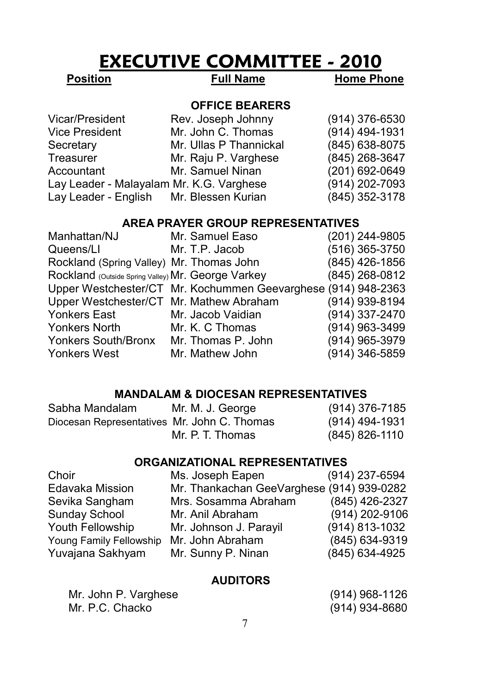#### **EXECUTIVE COMMITTEE - 2010**

**Position** Full Name Home Phone

#### **OFFICE BEARERS**

| Vicar/President                          | Rev. Joseph Johnny     | $(914)$ 376-6530 |
|------------------------------------------|------------------------|------------------|
| Vice President                           | Mr. John C. Thomas     | (914) 494-1931   |
| Secretary                                | Mr. Ullas P Thannickal | (845) 638-8075   |
| Treasurer                                | Mr. Raju P. Varghese   | (845) 268-3647   |
| Accountant                               | Mr. Samuel Ninan       | (201) 692-0649   |
| Lay Leader - Malayalam Mr. K.G. Varghese |                        | (914) 202-7093   |
| Lay Leader - English Mr. Blessen Kurian  |                        | (845) 352-3178   |
|                                          |                        |                  |

#### **AREA PRAYER GROUP REPRESENTATIVES**

| Manhattan/NJ                                       | Mr. Samuel Easo                                               | (201) 244-9805 |
|----------------------------------------------------|---------------------------------------------------------------|----------------|
| Queens/LI                                          | Mr. T.P. Jacob                                                | (516) 365-3750 |
| Rockland (Spring Valley) Mr. Thomas John           |                                                               | (845) 426-1856 |
| Rockland (Outside Spring Valley) Mr. George Varkey |                                                               | (845) 268-0812 |
|                                                    | Upper Westchester/CT Mr. Kochummen Geevarghese (914) 948-2363 |                |
| Upper Westchester/CT Mr. Mathew Abraham            |                                                               | (914) 939-8194 |
| Yonkers East                                       | Mr. Jacob Vaidian                                             | (914) 337-2470 |
| Yonkers North                                      | Mr. K. C Thomas                                               | (914) 963-3499 |
| Yonkers South/Bronx                                | Mr. Thomas P. John                                            | (914) 965-3979 |
| Yonkers West                                       | Mr. Mathew John                                               | (914) 346-5859 |

#### **MANDALAM & DIOCESAN REPRESENTATIVES**

| Sabha Mandalam                              | Mr. M. J. George | (914) 376-7185 |
|---------------------------------------------|------------------|----------------|
| Diocesan Representatives Mr. John C. Thomas |                  | (914) 494-1931 |
|                                             | Mr. P. T. Thomas | (845) 826-1110 |

#### **ORGANIZATIONAL REPRESENTATIVES**

| Choir                   | Ms. Joseph Eapen                          | (914) 237-6594 |
|-------------------------|-------------------------------------------|----------------|
| Edavaka Mission         | Mr. Thankachan GeeVarghese (914) 939-0282 |                |
| Sevika Sangham          | Mrs. Sosamma Abraham                      | (845) 426-2327 |
| Sunday School           | Mr. Anil Abraham                          | (914) 202-9106 |
| Youth Fellowship        | Mr. Johnson J. Parayil                    | (914) 813-1032 |
| Young Family Fellowship | Mr. John Abraham                          | (845) 634-9319 |
| Yuvajana Sakhyam        | Mr. Sunny P. Ninan                        | (845) 634-4925 |

#### **AUDITORS**

| Mr. John P. Varghese | (914) 968-1126 |
|----------------------|----------------|
| Mr. P.C. Chacko      | (914) 934-8680 |

| $(914)$ 968-1126 |
|------------------|
| (914) 934-8680   |